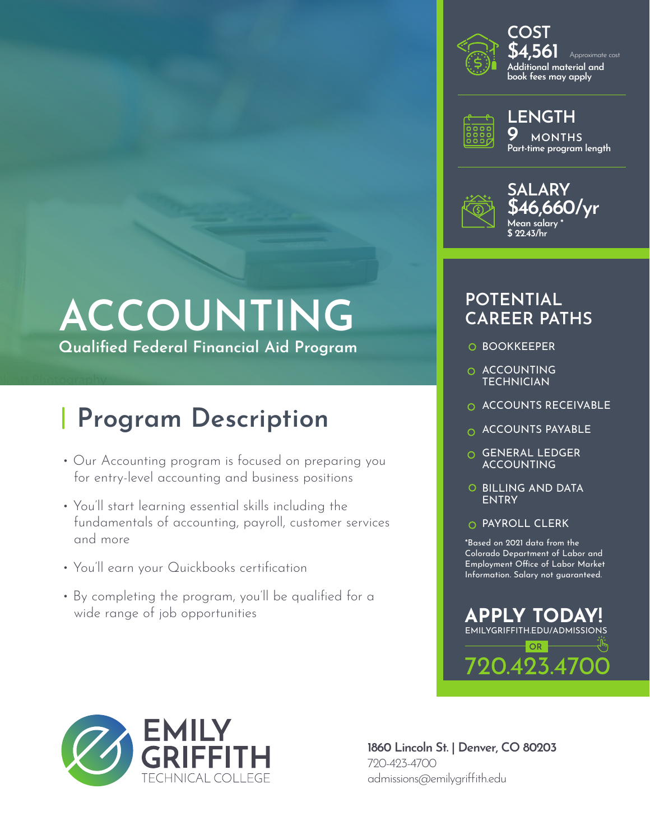

**\$4,561 Additional material and book fees may apply** Approximate cost **COST**



**9 MONTHS Part-time program length LENGTH**



# **\$46,660/yr**

## **POTENTIAL CAREER PATHS**

- O BOOKKEEPER
- O ACCOUNTING **TECHNICIAN**
- O ACCOUNTS RECEIVABLE
- **O ACCOUNTS PAYABLE**
- GENERAL LEDGER ACCOUNTING
- O BILLING AND DATA ENTRY
- O PAYROLL CLERK

\*Based on 2021 data from the Colorado Department of Labor and Employment Office of Labor Market Information. Salary not guaranteed.



## **ACCOUNTING Qualified Federal Financial Aid Program**

## **Program Description**

- Our Accounting program is focused on preparing you for entry-level accounting and business positions
- You'll start learning essential skills including the fundamentals of accounting, payroll, customer services and more
- You'll earn your Quickbooks certification
- By completing the program, you'll be qualified for a wide range of job opportunities



**1860 Lincoln St. | Denver, CO 80203** 720-423-4700 admissions@emilygriffith.edu